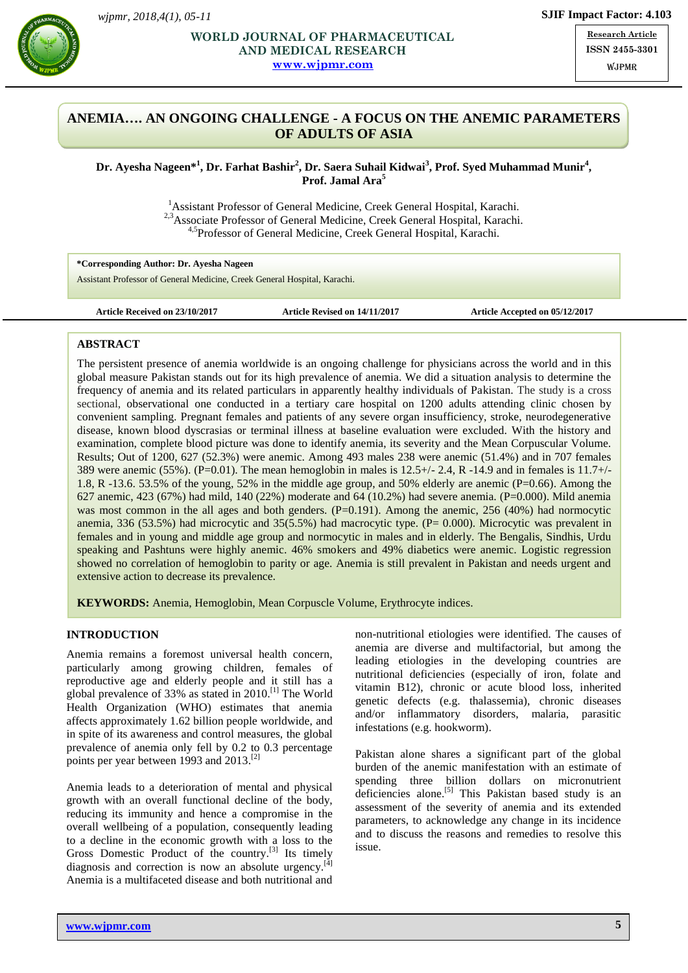

### **AND MEDICAL RESEARCH** ISSN 2 **WORLD JOURNAL OF PHARMACEUTICAL [www.wjpmr.com](http://www.wjpmr.com/)**

**Research Article ISSN 2455-3301** W.IPMR

# **ANEMIA…. AN ONGOING CHALLENGE - A FOCUS ON THE ANEMIC PARAMETERS OF ADULTS OF ASIA**

**Dr. Ayesha Nageen\* 1 , Dr. Farhat Bashir 2 , Dr. Saera Suhail Kidwai<sup>3</sup> , Prof. Syed Muhammad Munir<sup>4</sup> , Prof. Jamal Ara<sup>5</sup>**

> <sup>1</sup> Assistant Professor of General Medicine, Creek General Hospital, Karachi. <sup>2,3</sup>Associate Professor of General Medicine, Creek General Hospital, Karachi. 4,5Professor of General Medicine, Creek General Hospital, Karachi.

**\*Corresponding Author: Dr. Ayesha Nageen** Assistant Professor of General Medicine, Creek General Hospital, Karachi.

**Article Received on 23/10/2017 Article Revised on 14/11/2017 Article Accepted on 05/12/2017**

### **ABSTRACT**

The persistent presence of anemia worldwide is an ongoing challenge for physicians across the world and in this global measure Pakistan stands out for its high prevalence of anemia. We did a situation analysis to determine the frequency of anemia and its related particulars in apparently healthy individuals of Pakistan. The study is a cross sectional, observational one conducted in a tertiary care hospital on 1200 adults attending clinic chosen by convenient sampling. Pregnant females and patients of any severe organ insufficiency, stroke, neurodegenerative disease, known blood dyscrasias or terminal illness at baseline evaluation were excluded. With the history and examination, complete blood picture was done to identify anemia, its severity and the Mean Corpuscular Volume. Results; Out of 1200, 627 (52.3%) were anemic. Among 493 males 238 were anemic (51.4%) and in 707 females 389 were anemic (55%). (P=0.01). The mean hemoglobin in males is  $12.5+/-2.4$ , R -14.9 and in females is  $11.7+/-$ 1.8, R -13.6. 53.5% of the young, 52% in the middle age group, and 50% elderly are anemic (P=0.66). Among the 627 anemic, 423 (67%) had mild, 140 (22%) moderate and 64 (10.2%) had severe anemia. (P=0.000). Mild anemia was most common in the all ages and both genders. (P=0.191). Among the anemic, 256 (40%) had normocytic anemia, 336 (53.5%) had microcytic and 35(5.5%) had macrocytic type. (P= 0.000). Microcytic was prevalent in females and in young and middle age group and normocytic in males and in elderly. The Bengalis, Sindhis, Urdu speaking and Pashtuns were highly anemic. 46% smokers and 49% diabetics were anemic. Logistic regression showed no correlation of hemoglobin to parity or age. Anemia is still prevalent in Pakistan and needs urgent and extensive action to decrease its prevalence.

**KEYWORDS:** Anemia, Hemoglobin, Mean Corpuscle Volume, Erythrocyte indices.

### **INTRODUCTION**

Anemia remains a foremost universal health concern, particularly among growing children, females of reproductive age and elderly people and it still has a global prevalence of 33% as stated in 2010. [1] The World Health Organization (WHO) estimates that anemia affects approximately 1.62 billion people worldwide, and in spite of its awareness and control measures, the global prevalence of anemia only fell by 0.2 to 0.3 percentage points per year between 1993 and  $2013$ .<sup>[2]</sup>

Anemia leads to a deterioration of mental and physical growth with an overall functional decline of the body, reducing its immunity and hence a compromise in the overall wellbeing of a population, consequently leading to a decline in the economic growth with a loss to the Gross Domestic Product of the country.[3] Its timely diagnosis and correction is now an absolute urgency.<sup>[4]</sup> Anemia is a multifaceted disease and both nutritional and

non-nutritional etiologies were identified. The causes of anemia are diverse and multifactorial, but among the leading etiologies in the developing countries are nutritional deficiencies (especially of iron, folate and vitamin B12), chronic or acute blood loss, inherited genetic defects (e.g. thalassemia), chronic diseases and/or inflammatory disorders, malaria, parasitic infestations (e.g. hookworm).

Pakistan alone shares a significant part of the global burden of the anemic manifestation with an estimate of spending three billion dollars on micronutrient deficiencies alone.<sup>[5]</sup> This Pakistan based study is an assessment of the severity of anemia and its extended parameters, to acknowledge any change in its incidence and to discuss the reasons and remedies to resolve this issue.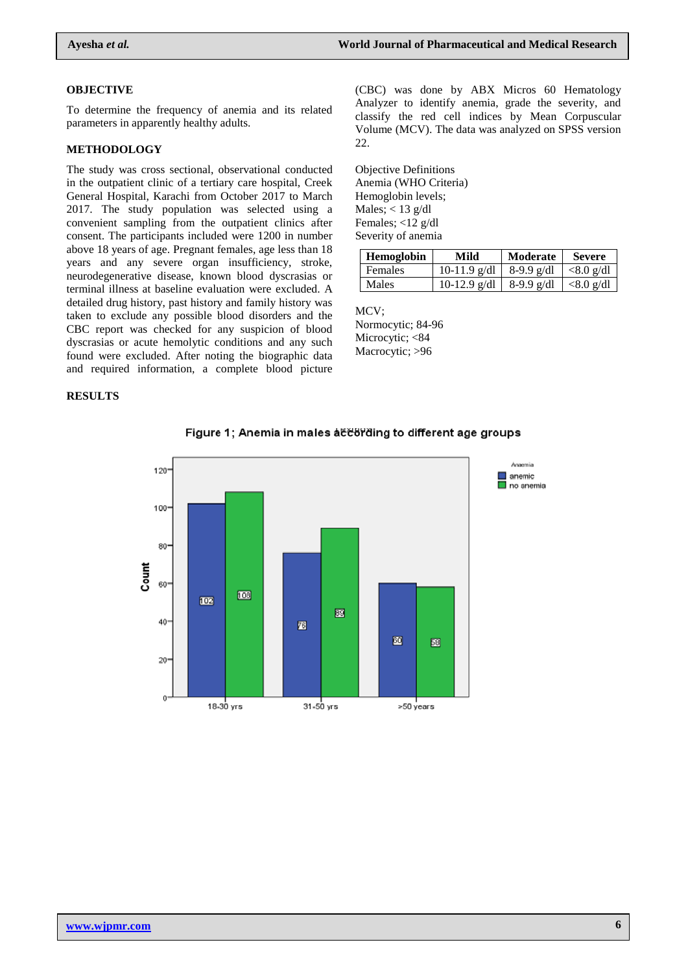#### **OBJECTIVE**

To determine the frequency of anemia and its related parameters in apparently healthy adults.

#### **METHODOLOGY**

The study was cross sectional, observational conducted in the outpatient clinic of a tertiary care hospital, Creek General Hospital, Karachi from October 2017 to March 2017. The study population was selected using a convenient sampling from the outpatient clinics after consent. The participants included were 1200 in number above 18 years of age. Pregnant females, age less than 18 years and any severe organ insufficiency, stroke, neurodegenerative disease, known blood dyscrasias or terminal illness at baseline evaluation were excluded. A detailed drug history, past history and family history was taken to exclude any possible blood disorders and the CBC report was checked for any suspicion of blood dyscrasias or acute hemolytic conditions and any such found were excluded. After noting the biographic data and required information, a complete blood picture

#### **RESULTS**

(CBC) was done by ABX Micros 60 Hematology Analyzer to identify anemia, grade the severity, and classify the red cell indices by Mean Corpuscular Volume (MCV). The data was analyzed on SPSS version 22.

Objective Definitions Anemia (WHO Criteria) Hemoglobin levels; Males;  $<$  13 g/dl Females; <12 g/dl Severity of anemia

| <b>Hemoglobin</b> | Mild                        | Moderate   | <b>Severe</b>                    |
|-------------------|-----------------------------|------------|----------------------------------|
| <b>Females</b>    | $10-11.9$ g/dl   8-9.9 g/dl |            | $\vert \langle 8.0 \rangle$ g/dl |
| <b>Males</b>      | $10-12.9$ g/dl              | 8-9.9 g/dl | $\vert \langle 8.0 \rangle$ g/dl |

MCV; Normocytic; 84-96 Microcytic; <84 Macrocytic; >96



#### Figure 1; Anemia in males at toring to different age groups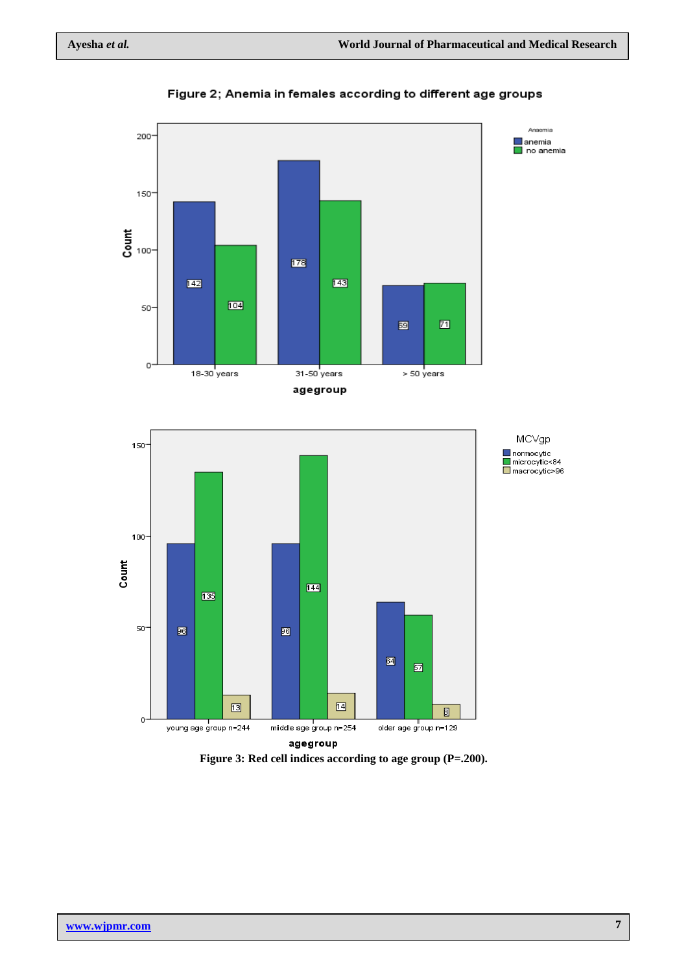

Figure 2; Anemia in females according to different age groups

**Figure 3: Red cell indices according to age group (P=.200).**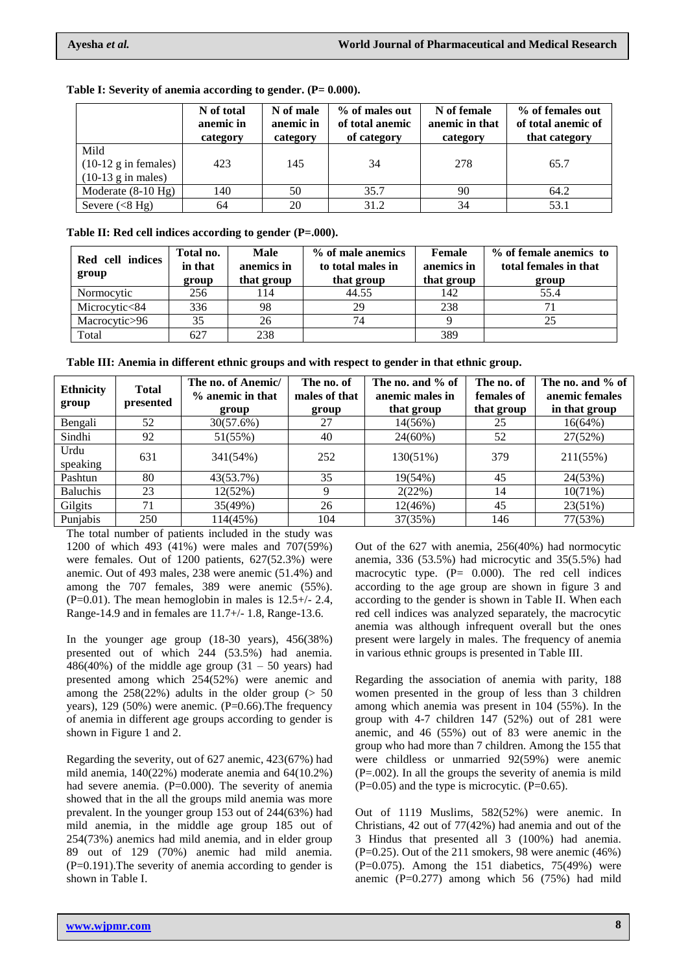|                                                                         | N of total<br>anemic in<br>category | N of male<br>anemic in<br>category | % of males out<br>of total anemic<br>of category | N of female<br>anemic in that<br>category | % of females out<br>of total anemic of<br>that category |
|-------------------------------------------------------------------------|-------------------------------------|------------------------------------|--------------------------------------------------|-------------------------------------------|---------------------------------------------------------|
| Mild<br>$(10-12 \text{ g} \text{ in females})$<br>$(10-13)$ g in males) | 423                                 | 145                                | 34                                               | 278                                       | 65.7                                                    |
| Moderate $(8-10 \text{ Hg})$                                            | 140                                 | 50                                 | 35.7                                             | 90                                        | 64.2                                                    |
| Severe $(<8$ Hg)                                                        | 64                                  | 20                                 | 31.2                                             | 34                                        | 53.1                                                    |

#### **Table I:** Severity of anemia according to gender. (P= 0.000).

**Table II: Red cell indices according to gender (P=.000).**

| Red cell indices<br>group | Total no.<br>in that<br>group | <b>Male</b><br>anemics in<br>that group | % of male anemics<br>to total males in<br>that group | Female<br>anemics in<br>that group | % of female anemics to<br>total females in that<br>group |
|---------------------------|-------------------------------|-----------------------------------------|------------------------------------------------------|------------------------------------|----------------------------------------------------------|
| Normocytic                | 256                           | 114                                     | 44.55                                                | 142                                | 55.4                                                     |
| Microcytic<84             | 336                           | 98                                      | 29                                                   | 238                                | 71                                                       |
| Macrocytic>96             | 35                            | 26                                      | 74                                                   |                                    |                                                          |
| Total                     | 627                           | 238                                     |                                                      | 389                                |                                                          |

|  |  | Table III: Anemia in different ethnic groups and with respect to gender in that ethnic group. |  |  |  |  |  |  |
|--|--|-----------------------------------------------------------------------------------------------|--|--|--|--|--|--|
|  |  |                                                                                               |  |  |  |  |  |  |

| <b>Ethnicity</b><br>group | <b>Total</b><br>presented | The no. of Anemic/<br>% anemic in that<br>group | The no. of<br>males of that<br>group | The no. and % of<br>anemic males in<br>that group | The no. of<br>females of<br>that group | The no. and % of<br>anemic females<br>in that group |
|---------------------------|---------------------------|-------------------------------------------------|--------------------------------------|---------------------------------------------------|----------------------------------------|-----------------------------------------------------|
| Bengali                   | 52                        | 30(57.6%)                                       | 27                                   | 14(56%)                                           | 25                                     | 16(64%)                                             |
| Sindhi                    | 92                        | 51(55%)                                         | 40                                   | $24(60\%)$                                        | 52                                     | 27(52%)                                             |
| Urdu<br>speaking          | 631                       | 341(54%)                                        | 252                                  | 130(51%)                                          | 379                                    | 211(55%)                                            |
| Pashtun                   | 80                        | 43(53.7%)                                       | 35                                   | 19(54%)                                           | 45                                     | 24(53%)                                             |
| <b>Baluchis</b>           | 23                        | 12(52%)                                         | 9                                    | 2(22%)                                            | 14                                     | $10(71\%)$                                          |
| Gilgits                   | 71                        | 35(49%)                                         | 26                                   | 12(46%)                                           | 45                                     | 23(51%)                                             |
| Punjabis                  | 250                       | 114(45%)                                        | 104                                  | 37(35%)                                           | 146                                    | 77(53%)                                             |

The total number of patients included in the study was 1200 of which 493 (41%) were males and 707(59%) were females. Out of 1200 patients, 627(52.3%) were anemic. Out of 493 males, 238 were anemic (51.4%) and among the 707 females, 389 were anemic (55%).  $(P=0.01)$ . The mean hemoglobin in males is  $12.5+/2.4$ , Range-14.9 and in females are 11.7+/- 1.8, Range-13.6.

In the younger age group (18-30 years), 456(38%) presented out of which 244 (53.5%) had anemia.  $486(40%)$  of the middle age group  $(31 - 50 \text{ years})$  had presented among which 254(52%) were anemic and among the  $258(22%)$  adults in the older group ( $> 50$ ) years), 129 (50%) were anemic. (P=0.66). The frequency of anemia in different age groups according to gender is shown in Figure 1 and 2.

Regarding the severity, out of 627 anemic, 423(67%) had mild anemia, 140(22%) moderate anemia and 64(10.2%) had severe anemia. (P=0.000). The severity of anemia showed that in the all the groups mild anemia was more prevalent. In the younger group 153 out of 244(63%) had mild anemia, in the middle age group 185 out of 254(73%) anemics had mild anemia, and in elder group 89 out of 129 (70%) anemic had mild anemia. (P=0.191).The severity of anemia according to gender is shown in Table I.

Out of the 627 with anemia, 256(40%) had normocytic anemia, 336 (53.5%) had microcytic and 35(5.5%) had macrocytic type. (P= 0.000). The red cell indices according to the age group are shown in figure 3 and according to the gender is shown in Table II. When each red cell indices was analyzed separately, the macrocytic anemia was although infrequent overall but the ones present were largely in males. The frequency of anemia in various ethnic groups is presented in Table III.

Regarding the association of anemia with parity, 188 women presented in the group of less than 3 children among which anemia was present in 104 (55%). In the group with 4-7 children 147 (52%) out of 281 were anemic, and 46 (55%) out of 83 were anemic in the group who had more than 7 children. Among the 155 that were childless or unmarried 92(59%) were anemic (P=.002). In all the groups the severity of anemia is mild  $(P=0.05)$  and the type is microcytic.  $(P=0.65)$ .

Out of 1119 Muslims, 582(52%) were anemic. In Christians, 42 out of 77(42%) had anemia and out of the 3 Hindus that presented all 3 (100%) had anemia.  $(P=0.25)$ . Out of the 211 smokers, 98 were anemic  $(46%)$  $(P=0.075)$ . Among the 151 diabetics, 75(49%) were anemic  $(P=0.277)$  among which 56 (75%) had mild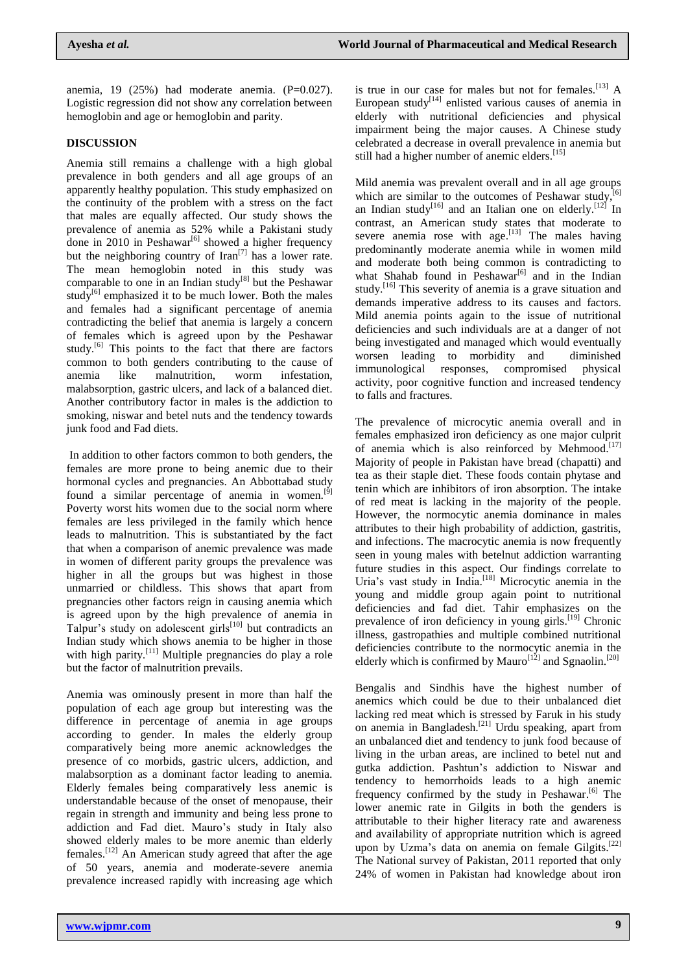anemia, 19 (25%) had moderate anemia. (P=0.027). Logistic regression did not show any correlation between hemoglobin and age or hemoglobin and parity.

# **DISCUSSION**

Anemia still remains a challenge with a high global prevalence in both genders and all age groups of an apparently healthy population. This study emphasized on the continuity of the problem with a stress on the fact that males are equally affected. Our study shows the prevalence of anemia as 52% while a Pakistani study done in 2010 in Peshawar<sup>[6]</sup> showed a higher frequency but the neighboring country of Iran<sup>[7]</sup> has a lower rate. The mean hemoglobin noted in this study was comparable to one in an Indian study<sup>[8]</sup> but the Peshawar study<sup>[6]</sup> emphasized it to be much lower. Both the males and females had a significant percentage of anemia contradicting the belief that anemia is largely a concern of females which is agreed upon by the Peshawar study.<sup>[6]</sup> This points to the fact that there are factors common to both genders contributing to the cause of anemia like malnutrition, worm infestation, malabsorption, gastric ulcers, and lack of a balanced diet. Another contributory factor in males is the addiction to smoking, niswar and betel nuts and the tendency towards junk food and Fad diets.

In addition to other factors common to both genders, the females are more prone to being anemic due to their hormonal cycles and pregnancies. An Abbottabad study found a similar percentage of anemia in women.<sup>[9]</sup> Poverty worst hits women due to the social norm where females are less privileged in the family which hence leads to malnutrition. This is substantiated by the fact that when a comparison of anemic prevalence was made in women of different parity groups the prevalence was higher in all the groups but was highest in those unmarried or childless. This shows that apart from pregnancies other factors reign in causing anemia which is agreed upon by the high prevalence of anemia in Talpur's study on adolescent girls $^{[10]}$  but contradicts an Indian study which shows anemia to be higher in those with high parity.<sup>[11]</sup> Multiple pregnancies do play a role but the factor of malnutrition prevails.

Anemia was ominously present in more than half the population of each age group but interesting was the difference in percentage of anemia in age groups according to gender. In males the elderly group comparatively being more anemic acknowledges the presence of co morbids, gastric ulcers, addiction, and malabsorption as a dominant factor leading to anemia. Elderly females being comparatively less anemic is understandable because of the onset of menopause, their regain in strength and immunity and being less prone to addiction and Fad diet. Mauro's study in Italy also showed elderly males to be more anemic than elderly females. [12] An American study agreed that after the age of 50 years, anemia and moderate-severe anemia prevalence increased rapidly with increasing age which

is true in our case for males but not for females.<sup>[13]</sup> A European study<sup>[14]</sup> enlisted various causes of anemia in elderly with nutritional deficiencies and physical impairment being the major causes. A Chinese study celebrated a decrease in overall prevalence in anemia but still had a higher number of anemic elders.<sup>[15]</sup>

Mild anemia was prevalent overall and in all age groups which are similar to the outcomes of Peshawar study, $[6]$ an Indian study<sup>[16]</sup> and an Italian one on elderly.<sup>[12]</sup> In contrast, an American study states that moderate to severe anemia rose with  $age.$ <sup>[13]</sup> The males having predominantly moderate anemia while in women mild and moderate both being common is contradicting to what Shahab found in Peshawar<sup>[6]</sup> and in the Indian study.<sup>[16]</sup> This severity of anemia is a grave situation and demands imperative address to its causes and factors. Mild anemia points again to the issue of nutritional deficiencies and such individuals are at a danger of not being investigated and managed which would eventually worsen leading to morbidity and diminished immunological responses, compromised physical activity, poor cognitive function and increased tendency to falls and fractures.

The prevalence of microcytic anemia overall and in females emphasized iron deficiency as one major culprit of anemia which is also reinforced by Mehmood.<sup>[17]</sup> Majority of people in Pakistan have bread (chapatti) and tea as their staple diet. These foods contain phytase and tenin which are inhibitors of iron absorption. The intake of red meat is lacking in the majority of the people. However, the normocytic anemia dominance in males attributes to their high probability of addiction, gastritis, and infections. The macrocytic anemia is now frequently seen in young males with betelnut addiction warranting future studies in this aspect. Our findings correlate to Uria's vast study in India.<sup>[18]</sup> Microcytic anemia in the young and middle group again point to nutritional deficiencies and fad diet. Tahir emphasizes on the prevalence of iron deficiency in young girls.<sup>[19]</sup> Chronic illness, gastropathies and multiple combined nutritional deficiencies contribute to the normocytic anemia in the elderly which is confirmed by Mauro $[12]$  and Sgnaolin.<sup>[20]</sup>

Bengalis and Sindhis have the highest number of anemics which could be due to their unbalanced diet lacking red meat which is stressed by Faruk in his study on anemia in Bangladesh.[21] Urdu speaking, apart from an unbalanced diet and tendency to junk food because of living in the urban areas, are inclined to betel nut and gutka addiction. Pashtun's addiction to Niswar and tendency to hemorrhoids leads to a high anemic frequency confirmed by the study in Peshawar.<sup>[6]</sup> The lower anemic rate in Gilgits in both the genders is attributable to their higher literacy rate and awareness and availability of appropriate nutrition which is agreed upon by Uzma's data on anemia on female Gilgits.<sup>[22]</sup> The National survey of Pakistan, 2011 reported that only 24% of women in Pakistan had knowledge about iron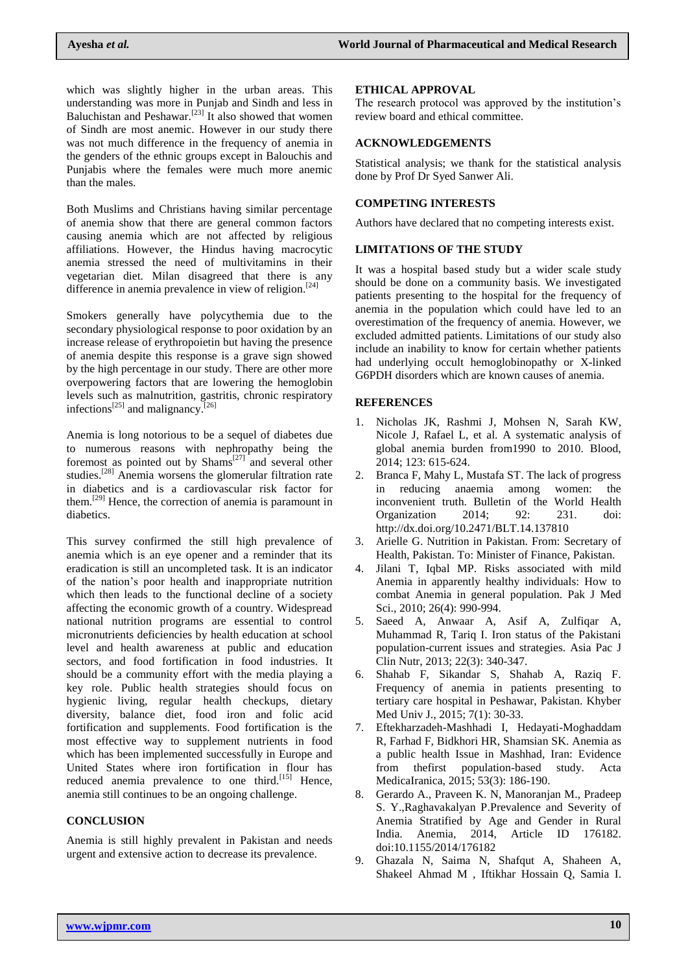which was slightly higher in the urban areas. This understanding was more in Punjab and Sindh and less in Baluchistan and Peshawar.<sup>[23]</sup> It also showed that women of Sindh are most anemic. However in our study there was not much difference in the frequency of anemia in the genders of the ethnic groups except in Balouchis and Punjabis where the females were much more anemic than the males.

Both Muslims and Christians having similar percentage of anemia show that there are general common factors causing anemia which are not affected by religious affiliations. However, the Hindus having macrocytic anemia stressed the need of multivitamins in their vegetarian diet. Milan disagreed that there is any difference in anemia prevalence in view of religion.<sup>[24]</sup>

Smokers generally have polycythemia due to the secondary physiological response to poor oxidation by an increase release of erythropoietin but having the presence of anemia despite this response is a grave sign showed by the high percentage in our study. There are other more overpowering factors that are lowering the hemoglobin levels such as malnutrition, gastritis, chronic respiratory infections<sup>[25]</sup> and malignancy.<sup>[26]</sup>

Anemia is long notorious to be a sequel of diabetes due to numerous reasons with nephropathy being the foremost as pointed out by  $Shams^{[27]}$  and several other studies.<sup>[28]</sup> Anemia worsens the glomerular filtration rate in diabetics and is a cardiovascular risk factor for them.[29] Hence, the correction of anemia is paramount in diabetics.

This survey confirmed the still high prevalence of anemia which is an eye opener and a reminder that its eradication is still an uncompleted task. It is an indicator of the nation's poor health and inappropriate nutrition which then leads to the functional decline of a society affecting the economic growth of a country. Widespread national nutrition programs are essential to control micronutrients deficiencies by health education at school level and health awareness at public and education sectors, and food fortification in food industries. It should be a community effort with the media playing a key role. Public health strategies should focus on hygienic living, regular health checkups, dietary diversity, balance diet, food iron and folic acid fortification and supplements. Food fortification is the most effective way to supplement nutrients in food which has been implemented successfully in Europe and United States where iron fortification in flour has reduced anemia prevalence to one third.<sup>[15]</sup> Hence. anemia still continues to be an ongoing challenge.

# **CONCLUSION**

Anemia is still highly prevalent in Pakistan and needs urgent and extensive action to decrease its prevalence.

#### **ETHICAL APPROVAL**

The research protocol was approved by the institution's review board and ethical committee.

### **ACKNOWLEDGEMENTS**

Statistical analysis; we thank for the statistical analysis done by Prof Dr Syed Sanwer Ali.

# **COMPETING INTERESTS**

Authors have declared that no competing interests exist.

### **LIMITATIONS OF THE STUDY**

It was a hospital based study but a wider scale study should be done on a community basis. We investigated patients presenting to the hospital for the frequency of anemia in the population which could have led to an overestimation of the frequency of anemia. However, we excluded admitted patients. Limitations of our study also include an inability to know for certain whether patients had underlying occult hemoglobinopathy or X-linked G6PDH disorders which are known causes of anemia.

### **REFERENCES**

- 1. Nicholas JK, Rashmi J, Mohsen N, Sarah KW, Nicole J, Rafael L, et al. A systematic analysis of global anemia burden from1990 to 2010. Blood, 2014; 123: 615-624.
- 2. Branca F, Mahy L, Mustafa ST. The lack of progress in reducing anaemia among women: the inconvenient truth. Bulletin of the World Health Organization 2014; 92: 231. doi: <http://dx.doi.org/10.2471/BLT.14.137810>
- 3. Arielle G. Nutrition in Pakistan. From: Secretary of Health, Pakistan. To: Minister of Finance, Pakistan.
- 4. Jilani T, Iqbal MP. Risks associated with mild Anemia in apparently healthy individuals: How to combat Anemia in general population. Pak J Med Sci., 2010; 26(4): 990-994.
- 5. Saeed A, Anwaar A, Asif A, Zulfiqar A, Muhammad R, Tariq I. Iron status of the Pakistani population-current issues and strategies. Asia Pac J Clin Nutr, 2013; 22(3): 340-347.
- 6. Shahab F, Sikandar S, Shahab A, Raziq F. Frequency of anemia in patients presenting to tertiary care hospital in Peshawar, Pakistan. Khyber Med Univ J., 2015; 7(1): 30-33.
- 7. Eftekharzadeh-Mashhadi I, Hedayati-Moghaddam R, Farhad F, Bidkhori HR, Shamsian SK. Anemia as a public health Issue in Mashhad, Iran: Evidence from thefirst population-based study. Acta MedicaIranica, 2015; 53(3): 186-190.
- 8. Gerardo A., Praveen K. N, Manoranjan M., Pradeep S. Y.,Raghavakalyan P.Prevalence and Severity of Anemia Stratified by Age and Gender in Rural India. Anemia, 2014, Article ID 176182. doi:10.1155/2014/176182
- 9. Ghazala N, Saima N, Shafqut A, Shaheen A, Shakeel Ahmad M , Iftikhar Hossain Q, Samia I.